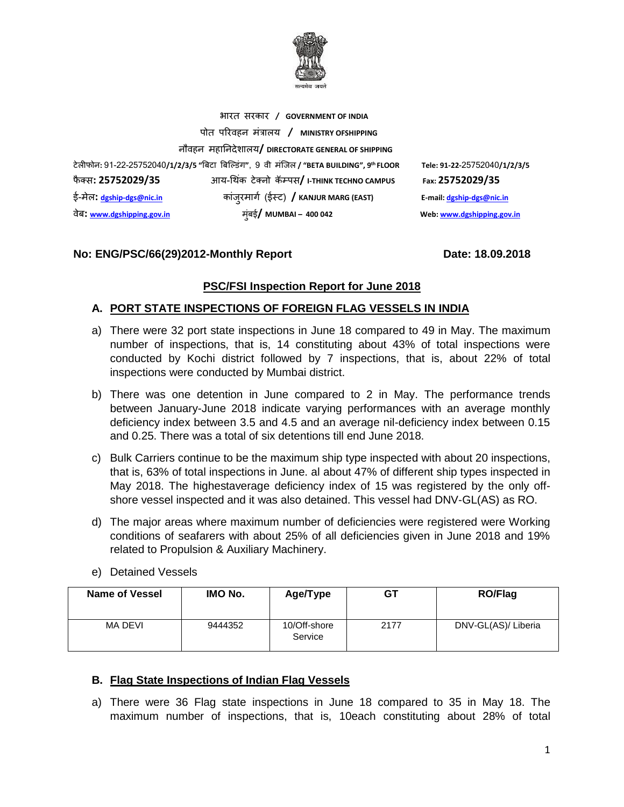

भारत सरकार **/ GOVERNMENT OF INDIA** पोत पररवहन मंत्रालय **/ MINISTRY OFSHIPPING** नौवहन महाननदेशालय**/ DIRECTORATE GENERAL OF SHIPPING** टेलीफोन**:** 91-22-25752040**/1/2/3/5 "**बिटा बिल्डंग**"**, 9 वी मंलिल **/ "BETA BUILDING", 9** फै क् स**: 25752029/35** आय-थ कं टेक्नो कॅम्पस**/ I-THINK TECHNO CAMPUS Fax: 25752029/35** ई-मेल**: [dgship-dgs@nic.in](mailto:dgship-dgs@nic.in)** कांिुरमागग (ईस्ट) **/ KANJUR MARG (EAST) E-mail[: dgship-dgs@nic.in](mailto:dgship-dgs@nic.in)** वेि**: [www.dgshipping.gov.in](http://www.dgshipping.gov.in/)** मुंिई**/ MUMBAI – 400 042 Web[: www.dgshipping.gov.in](http://www.dgshipping.gov.in/)**

# **No: ENG/PSC/66(29)2012-Monthly Report Date: 18.09.2018**

**th FLOOR Tele: 91-22-**25752040**/1/2/3/5** 

#### **PSC/FSI Inspection Report for June 2018**

### **A. PORT STATE INSPECTIONS OF FOREIGN FLAG VESSELS IN INDIA**

- a) There were 32 port state inspections in June 18 compared to 49 in May. The maximum number of inspections, that is, 14 constituting about 43% of total inspections were conducted by Kochi district followed by 7 inspections, that is, about 22% of total inspections were conducted by Mumbai district.
- b) There was one detention in June compared to 2 in May. The performance trends between January-June 2018 indicate varying performances with an average monthly deficiency index between 3.5 and 4.5 and an average nil-deficiency index between 0.15 and 0.25. There was a total of six detentions till end June 2018.
- c) Bulk Carriers continue to be the maximum ship type inspected with about 20 inspections, that is, 63% of total inspections in June. al about 47% of different ship types inspected in May 2018. The highestaverage deficiency index of 15 was registered by the only offshore vessel inspected and it was also detained. This vessel had DNV-GL(AS) as RO.
- d) The major areas where maximum number of deficiencies were registered were Working conditions of seafarers with about 25% of all deficiencies given in June 2018 and 19% related to Propulsion & Auxiliary Machinery.

| <b>Name of Vessel</b> | IMO No. | Age/Type                | GТ   | RO/Flag             |
|-----------------------|---------|-------------------------|------|---------------------|
| MA DEVI               | 9444352 | 10/Off-shore<br>Service | 2177 | DNV-GL(AS)/ Liberia |

e) Detained Vessels

#### **B. Flag State Inspections of Indian Flag Vessels**

a) There were 36 Flag state inspections in June 18 compared to 35 in May 18. The maximum number of inspections, that is, 10each constituting about 28% of total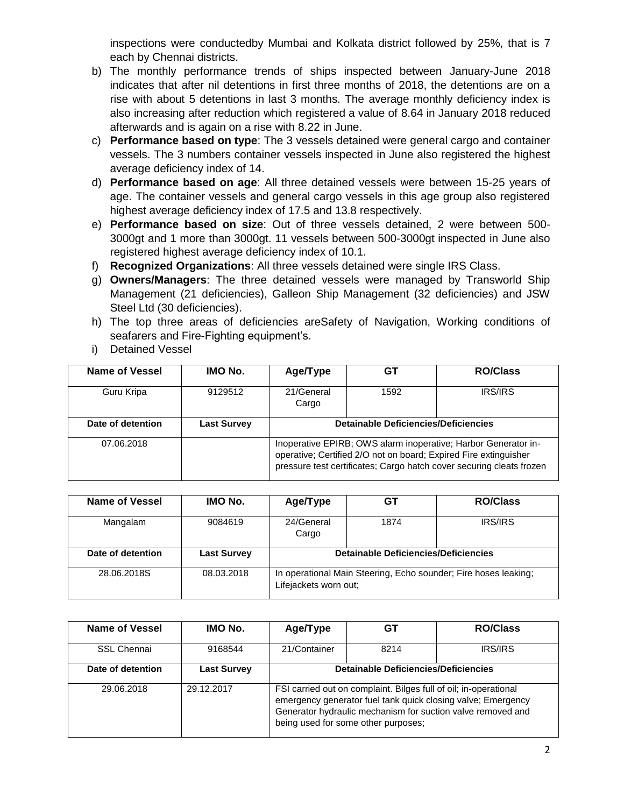inspections were conductedby Mumbai and Kolkata district followed by 25%, that is 7 each by Chennai districts.

- b) The monthly performance trends of ships inspected between January-June 2018 indicates that after nil detentions in first three months of 2018, the detentions are on a rise with about 5 detentions in last 3 months. The average monthly deficiency index is also increasing after reduction which registered a value of 8.64 in January 2018 reduced afterwards and is again on a rise with 8.22 in June.
- c) **Performance based on type**: The 3 vessels detained were general cargo and container vessels. The 3 numbers container vessels inspected in June also registered the highest average deficiency index of 14.
- d) **Performance based on age**: All three detained vessels were between 15-25 years of age. The container vessels and general cargo vessels in this age group also registered highest average deficiency index of 17.5 and 13.8 respectively.
- e) **Performance based on size**: Out of three vessels detained, 2 were between 500- 3000gt and 1 more than 3000gt. 11 vessels between 500-3000gt inspected in June also registered highest average deficiency index of 10.1.
- f) **Recognized Organizations**: All three vessels detained were single IRS Class.
- g) **Owners/Managers**: The three detained vessels were managed by Transworld Ship Management (21 deficiencies), Galleon Ship Management (32 deficiencies) and JSW Steel Ltd (30 deficiencies).
- h) The top three areas of deficiencies areSafety of Navigation, Working conditions of seafarers and Fire-Fighting equipment's.
- i) Detained Vessel

| Name of Vessel    | <b>IMO No.</b>     | Age/Type                                                                                                                                                                                                   | GТ   | <b>RO/Class</b> |  |  |  |  |
|-------------------|--------------------|------------------------------------------------------------------------------------------------------------------------------------------------------------------------------------------------------------|------|-----------------|--|--|--|--|
| Guru Kripa        | 9129512            | 21/General<br>Cargo                                                                                                                                                                                        | 1592 | <b>IRS/IRS</b>  |  |  |  |  |
| Date of detention | <b>Last Survey</b> | Detainable Deficiencies/Deficiencies                                                                                                                                                                       |      |                 |  |  |  |  |
| 07.06.2018        |                    | Inoperative EPIRB; OWS alarm inoperative; Harbor Generator in-<br>operative; Certified 2/O not on board; Expired Fire extinguisher<br>pressure test certificates; Cargo hatch cover securing cleats frozen |      |                 |  |  |  |  |

| Name of Vessel    | IMO No.            | Age/Type                             | GT                                                                                       | <b>RO/Class</b> |  |  |  |  |
|-------------------|--------------------|--------------------------------------|------------------------------------------------------------------------------------------|-----------------|--|--|--|--|
| Mangalam          | 9084619            | 24/General<br>Cargo                  | 1874                                                                                     | <b>IRS/IRS</b>  |  |  |  |  |
| Date of detention | <b>Last Survey</b> | Detainable Deficiencies/Deficiencies |                                                                                          |                 |  |  |  |  |
| 28.06.2018S       | 08.03.2018         |                                      | In operational Main Steering, Echo sounder; Fire hoses leaking;<br>Lifejackets worn out; |                 |  |  |  |  |

| Name of Vessel     | IMO No.            | Age/Type                                                                                                                                                                                                                               | GT   | <b>RO/Class</b> |  |  |  |
|--------------------|--------------------|----------------------------------------------------------------------------------------------------------------------------------------------------------------------------------------------------------------------------------------|------|-----------------|--|--|--|
| <b>SSL Chennai</b> | 9168544            | 21/Container                                                                                                                                                                                                                           | 8214 | <b>IRS/IRS</b>  |  |  |  |
| Date of detention  | <b>Last Survey</b> | <b>Detainable Deficiencies/Deficiencies</b>                                                                                                                                                                                            |      |                 |  |  |  |
| 29.06.2018         | 29.12.2017         | FSI carried out on complaint. Bilges full of oil; in-operational<br>emergency generator fuel tank quick closing valve; Emergency<br>Generator hydraulic mechanism for suction valve removed and<br>being used for some other purposes; |      |                 |  |  |  |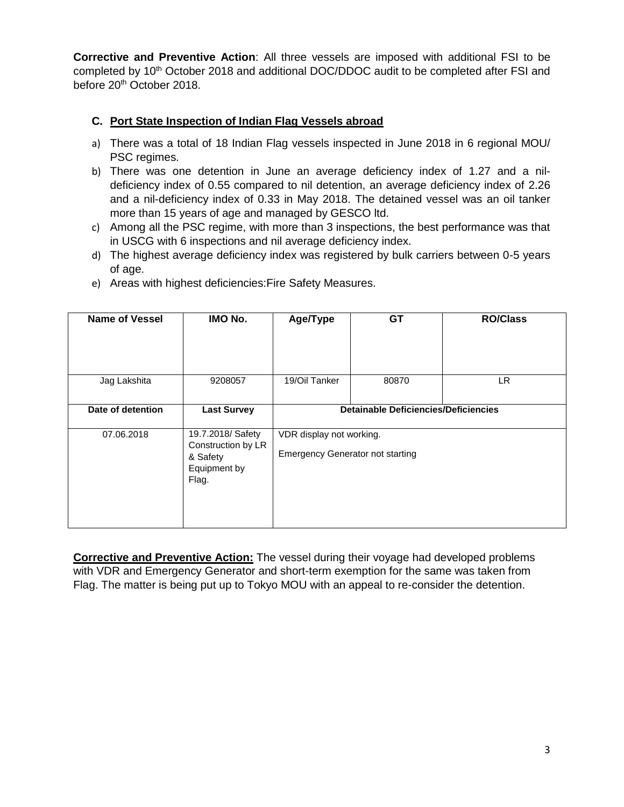**Corrective and Preventive Action**: All three vessels are imposed with additional FSI to be completed by 10<sup>th</sup> October 2018 and additional DOC/DDOC audit to be completed after FSI and before 20<sup>th</sup> October 2018.

# **C. Port State Inspection of Indian Flag Vessels abroad**

- a) There was a total of 18 Indian Flag vessels inspected in June 2018 in 6 regional MOU/ PSC regimes.
- b) There was one detention in June an average deficiency index of 1.27 and a nildeficiency index of 0.55 compared to nil detention, an average deficiency index of 2.26 and a nil-deficiency index of 0.33 in May 2018. The detained vessel was an oil tanker more than 15 years of age and managed by GESCO ltd.
- c) Among all the PSC regime, with more than 3 inspections, the best performance was that in USCG with 6 inspections and nil average deficiency index.
- d) The highest average deficiency index was registered by bulk carriers between 0-5 years of age.

| <b>Name of Vessel</b> | IMO No.                                                                      | Age/Type                                                            | <b>GT</b> | <b>RO/Class</b> |  |  |
|-----------------------|------------------------------------------------------------------------------|---------------------------------------------------------------------|-----------|-----------------|--|--|
| Jag Lakshita          | 9208057                                                                      | 19/Oil Tanker                                                       | 80870     | LR.             |  |  |
| Date of detention     | <b>Last Survey</b>                                                           | <b>Detainable Deficiencies/Deficiencies</b>                         |           |                 |  |  |
| 07.06.2018            | 19.7.2018/ Safety<br>Construction by LR<br>& Safety<br>Equipment by<br>Flag. | VDR display not working.<br><b>Emergency Generator not starting</b> |           |                 |  |  |

e) Areas with highest deficiencies:Fire Safety Measures.

**Corrective and Preventive Action:** The vessel during their voyage had developed problems with VDR and Emergency Generator and short-term exemption for the same was taken from Flag. The matter is being put up to Tokyo MOU with an appeal to re-consider the detention.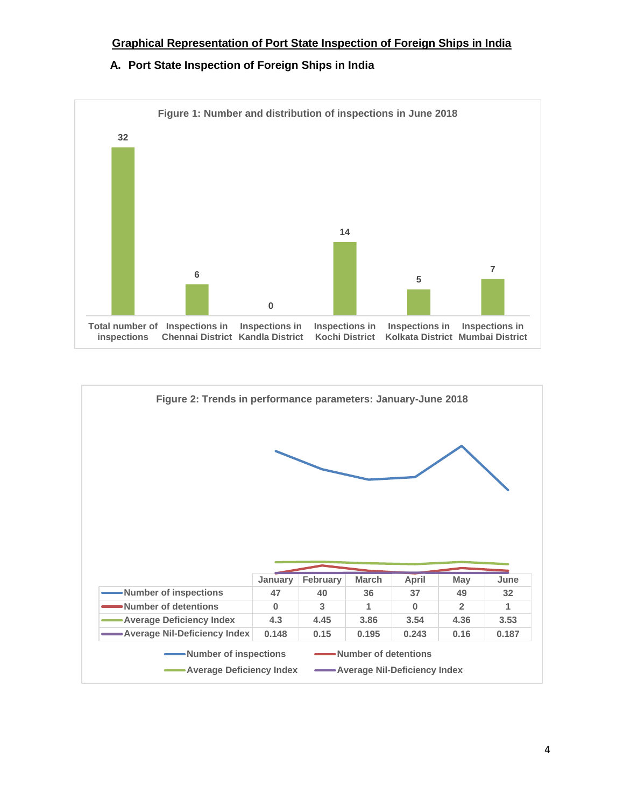# **Graphical Representation of Port State Inspection of Foreign Ships in India**

**A. Port State Inspection of Foreign Ships in India**



| Figure 2: Trends in performance parameters: January-June 2018 |          |          |              |              |                |       |
|---------------------------------------------------------------|----------|----------|--------------|--------------|----------------|-------|
|                                                               |          |          |              |              |                |       |
|                                                               | January  | February | <b>March</b> | April        | May            |       |
|                                                               |          |          |              |              |                | June  |
| -Number of inspections                                        | 47       | 40       | 36           | 37           | 49             | 32    |
| Number of detentions                                          | $\Omega$ | 3        | 1            | $\mathbf{0}$ | $\overline{2}$ | 1     |
| <b>Average Deficiency Index</b>                               | 4.3      | 4.45     | 3.86         | 3.54         | 4.36           | 3.53  |
| -Average Nil-Deficiency Index                                 | 0.148    | 0.15     | 0.195        | 0.243        | 0.16           | 0.187 |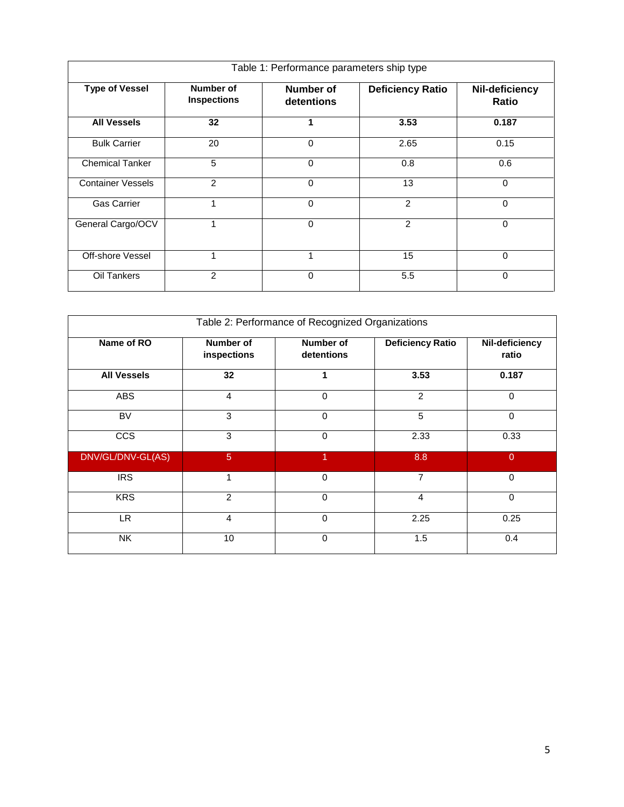| Table 1: Performance parameters ship type |                                 |                         |                         |                                |  |  |  |
|-------------------------------------------|---------------------------------|-------------------------|-------------------------|--------------------------------|--|--|--|
| <b>Type of Vessel</b>                     | Number of<br><b>Inspections</b> | Number of<br>detentions | <b>Deficiency Ratio</b> | Nil-deficiency<br><b>Ratio</b> |  |  |  |
| <b>All Vessels</b>                        | 32                              |                         | 3.53                    | 0.187                          |  |  |  |
| <b>Bulk Carrier</b>                       | 20                              | $\Omega$                | 2.65                    | 0.15                           |  |  |  |
| <b>Chemical Tanker</b>                    | 5                               | $\Omega$                | 0.8                     | 0.6                            |  |  |  |
| <b>Container Vessels</b>                  | 2                               | $\Omega$                | 13                      | $\Omega$                       |  |  |  |
| <b>Gas Carrier</b>                        | 1                               | $\Omega$                | 2                       | $\Omega$                       |  |  |  |
| General Cargo/OCV                         | 1                               | $\mathbf 0$             | 2                       | 0                              |  |  |  |
| Off-shore Vessel                          | 1                               |                         | 15                      | 0                              |  |  |  |
| Oil Tankers                               | 2                               | $\Omega$                | 5.5                     | $\Omega$                       |  |  |  |

| Table 2: Performance of Recognized Organizations |                          |                                |                         |                         |  |  |  |  |
|--------------------------------------------------|--------------------------|--------------------------------|-------------------------|-------------------------|--|--|--|--|
| Name of RO                                       | Number of<br>inspections | <b>Number of</b><br>detentions | <b>Deficiency Ratio</b> | Nil-deficiency<br>ratio |  |  |  |  |
| <b>All Vessels</b>                               | 32                       |                                | 3.53                    | 0.187                   |  |  |  |  |
| <b>ABS</b>                                       | 4                        | 0                              | $\overline{2}$          | $\mathbf 0$             |  |  |  |  |
| <b>BV</b>                                        | 3                        | $\mathbf 0$                    | 5                       | $\mathbf 0$             |  |  |  |  |
| <b>CCS</b>                                       | 3                        | $\Omega$                       | 2.33                    | 0.33                    |  |  |  |  |
| DNV/GL/DNV-GL(AS)                                | $\sqrt{5}$               | 1                              | 8.8                     | $\overline{0}$          |  |  |  |  |
| <b>IRS</b>                                       | 1                        | 0                              | 7                       | $\mathbf 0$             |  |  |  |  |
| <b>KRS</b>                                       | $\overline{2}$           | $\Omega$                       | $\overline{4}$          | $\mathbf 0$             |  |  |  |  |
| LR.                                              | 4                        | $\Omega$                       | 2.25                    | 0.25                    |  |  |  |  |
| <b>NK</b>                                        | 10                       | $\Omega$                       | 1.5                     | 0.4                     |  |  |  |  |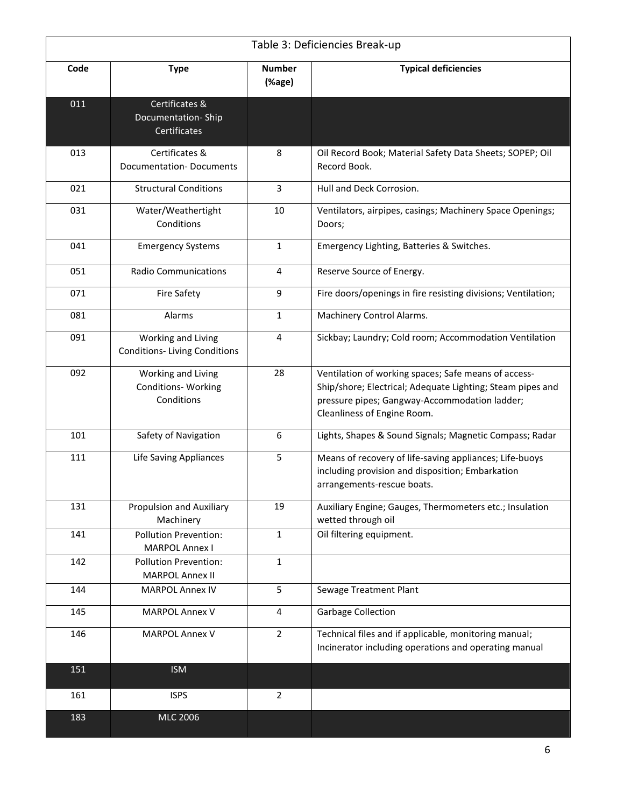|      |                                                           |                         | Table 3: Deficiencies Break-up                                                                                                                                                                     |
|------|-----------------------------------------------------------|-------------------------|----------------------------------------------------------------------------------------------------------------------------------------------------------------------------------------------------|
| Code | <b>Type</b>                                               | <b>Number</b><br>(%age) | <b>Typical deficiencies</b>                                                                                                                                                                        |
| 011  | Certificates &<br>Documentation-Ship<br>Certificates      |                         |                                                                                                                                                                                                    |
| 013  | Certificates &<br><b>Documentation-Documents</b>          | 8                       | Oil Record Book; Material Safety Data Sheets; SOPEP; Oil<br>Record Book.                                                                                                                           |
| 021  | <b>Structural Conditions</b>                              | 3                       | Hull and Deck Corrosion.                                                                                                                                                                           |
| 031  | Water/Weathertight<br>Conditions                          | 10                      | Ventilators, airpipes, casings; Machinery Space Openings;<br>Doors;                                                                                                                                |
| 041  | <b>Emergency Systems</b>                                  | $\mathbf{1}$            | Emergency Lighting, Batteries & Switches.                                                                                                                                                          |
| 051  | <b>Radio Communications</b>                               | $\overline{4}$          | Reserve Source of Energy.                                                                                                                                                                          |
| 071  | <b>Fire Safety</b>                                        | 9                       | Fire doors/openings in fire resisting divisions; Ventilation;                                                                                                                                      |
| 081  | Alarms                                                    | $\mathbf{1}$            | Machinery Control Alarms.                                                                                                                                                                          |
| 091  | Working and Living<br><b>Conditions-Living Conditions</b> | 4                       | Sickbay; Laundry; Cold room; Accommodation Ventilation                                                                                                                                             |
| 092  | Working and Living<br>Conditions-Working<br>Conditions    | 28                      | Ventilation of working spaces; Safe means of access-<br>Ship/shore; Electrical; Adequate Lighting; Steam pipes and<br>pressure pipes; Gangway-Accommodation ladder;<br>Cleanliness of Engine Room. |
| 101  | Safety of Navigation                                      | 6                       | Lights, Shapes & Sound Signals; Magnetic Compass; Radar                                                                                                                                            |
| 111  | <b>Life Saving Appliances</b>                             | 5                       | Means of recovery of life-saving appliances; Life-buoys<br>including provision and disposition; Embarkation<br>arrangements-rescue boats.                                                          |
| 131  | <b>Propulsion and Auxiliary</b><br>Machinery              | 19                      | Auxiliary Engine; Gauges, Thermometers etc.; Insulation<br>wetted through oil                                                                                                                      |
| 141  | <b>Pollution Prevention:</b><br><b>MARPOL Annex I</b>     | $\mathbf{1}$            | Oil filtering equipment.                                                                                                                                                                           |
| 142  | <b>Pollution Prevention:</b><br><b>MARPOL Annex II</b>    | $\mathbf{1}$            |                                                                                                                                                                                                    |
| 144  | <b>MARPOL Annex IV</b>                                    | 5                       | Sewage Treatment Plant                                                                                                                                                                             |
| 145  | <b>MARPOL Annex V</b>                                     | 4                       | <b>Garbage Collection</b>                                                                                                                                                                          |
| 146  | <b>MARPOL Annex V</b>                                     | $\overline{2}$          | Technical files and if applicable, monitoring manual;<br>Incinerator including operations and operating manual                                                                                     |
| 151  | <b>ISM</b>                                                |                         |                                                                                                                                                                                                    |
| 161  | <b>ISPS</b>                                               | $\overline{2}$          |                                                                                                                                                                                                    |
| 183  | <b>MLC 2006</b>                                           |                         |                                                                                                                                                                                                    |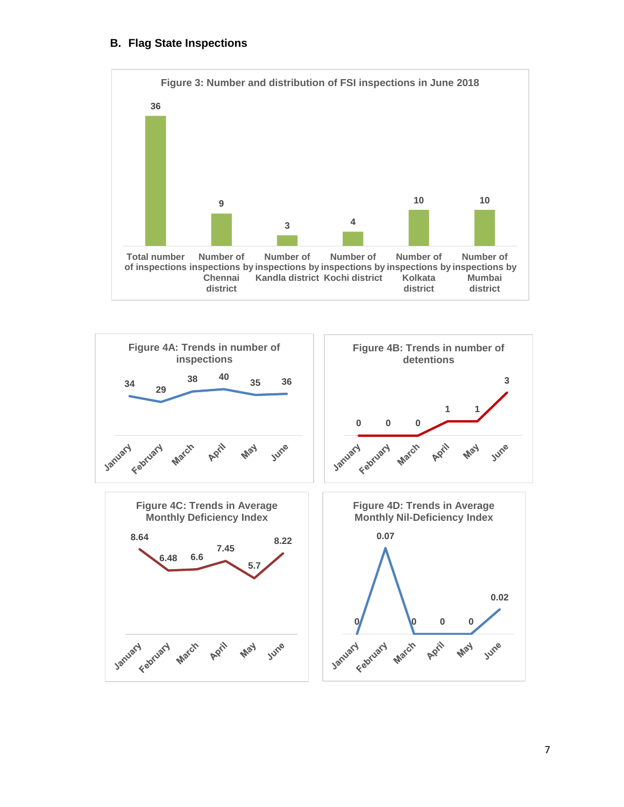## **B. Flag State Inspections**



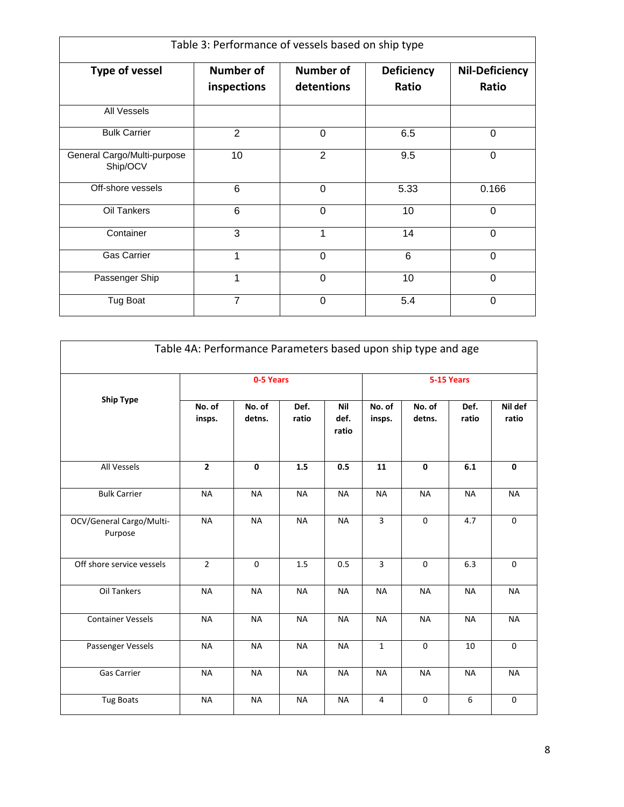| Table 3: Performance of vessels based on ship type |                                                                   |                |                            |                                |  |  |  |
|----------------------------------------------------|-------------------------------------------------------------------|----------------|----------------------------|--------------------------------|--|--|--|
| <b>Type of vessel</b>                              | <b>Number of</b><br><b>Number of</b><br>detentions<br>inspections |                | <b>Deficiency</b><br>Ratio | <b>Nil-Deficiency</b><br>Ratio |  |  |  |
| All Vessels                                        |                                                                   |                |                            |                                |  |  |  |
| <b>Bulk Carrier</b>                                | $\overline{2}$                                                    | $\Omega$       | 6.5                        | 0                              |  |  |  |
| General Cargo/Multi-purpose<br>Ship/OCV            | 10                                                                | $\overline{2}$ | 9.5                        | $\mathbf 0$                    |  |  |  |
| Off-shore vessels                                  | 6                                                                 | $\Omega$       | 5.33                       | 0.166                          |  |  |  |
| Oil Tankers                                        | 6                                                                 | $\overline{0}$ | 10                         | $\Omega$                       |  |  |  |
| Container                                          | 3                                                                 | 1              | 14                         | $\mathbf 0$                    |  |  |  |
| <b>Gas Carrier</b>                                 | 1                                                                 | $\Omega$       | 6                          | $\Omega$                       |  |  |  |
| Passenger Ship                                     | 1                                                                 | $\Omega$       | 10                         | $\Omega$                       |  |  |  |
| Tug Boat                                           | 7                                                                 | $\Omega$       | 5.4                        | $\Omega$                       |  |  |  |

|                                     | Table 4A: Performance Parameters based upon ship type and age |                  |               |                             |                  |                  |               |                  |
|-------------------------------------|---------------------------------------------------------------|------------------|---------------|-----------------------------|------------------|------------------|---------------|------------------|
|                                     | 0-5 Years                                                     |                  |               |                             |                  |                  | 5-15 Years    |                  |
| <b>Ship Type</b>                    | No. of<br>insps.                                              | No. of<br>detns. | Def.<br>ratio | <b>Nil</b><br>def.<br>ratio | No. of<br>insps. | No. of<br>detns. | Def.<br>ratio | Nil def<br>ratio |
| All Vessels                         | $\mathbf{2}$                                                  | $\mathbf 0$      | 1.5           | 0.5                         | 11               | $\mathbf 0$      | 6.1           | $\mathbf 0$      |
| <b>Bulk Carrier</b>                 | <b>NA</b>                                                     | <b>NA</b>        | <b>NA</b>     | <b>NA</b>                   | <b>NA</b>        | <b>NA</b>        | <b>NA</b>     | <b>NA</b>        |
| OCV/General Cargo/Multi-<br>Purpose | <b>NA</b>                                                     | <b>NA</b>        | <b>NA</b>     | <b>NA</b>                   | $\overline{3}$   | $\Omega$         | 4.7           | $\Omega$         |
| Off shore service vessels           | $\overline{2}$                                                | $\Omega$         | 1.5           | 0.5                         | 3                | $\Omega$         | 6.3           | $\mathbf 0$      |
| Oil Tankers                         | <b>NA</b>                                                     | <b>NA</b>        | <b>NA</b>     | <b>NA</b>                   | <b>NA</b>        | <b>NA</b>        | <b>NA</b>     | <b>NA</b>        |
| <b>Container Vessels</b>            | <b>NA</b>                                                     | <b>NA</b>        | <b>NA</b>     | <b>NA</b>                   | <b>NA</b>        | <b>NA</b>        | <b>NA</b>     | <b>NA</b>        |
| Passenger Vessels                   | <b>NA</b>                                                     | <b>NA</b>        | <b>NA</b>     | <b>NA</b>                   | $\mathbf 1$      | $\pmb{0}$        | 10            | $\mathbf 0$      |
| Gas Carrier                         | <b>NA</b>                                                     | <b>NA</b>        | <b>NA</b>     | <b>NA</b>                   | <b>NA</b>        | <b>NA</b>        | <b>NA</b>     | <b>NA</b>        |
| Tug Boats                           | <b>NA</b>                                                     | <b>NA</b>        | <b>NA</b>     | <b>NA</b>                   | 4                | $\mathbf 0$      | 6             | $\mathbf 0$      |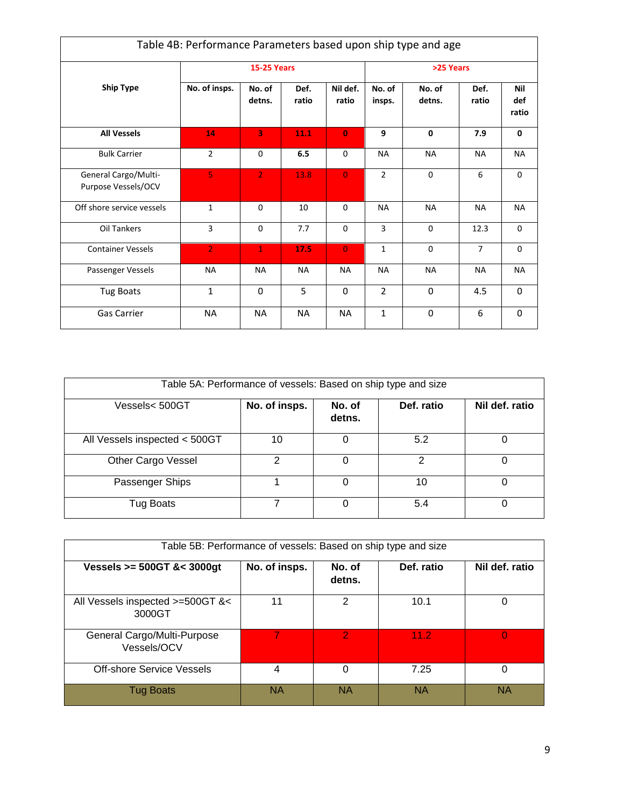|                                             | Table 4B: Performance Parameters based upon ship type and age |                    |               |                   |                  |                  |                |                     |
|---------------------------------------------|---------------------------------------------------------------|--------------------|---------------|-------------------|------------------|------------------|----------------|---------------------|
|                                             |                                                               | <b>15-25 Years</b> |               |                   | >25 Years        |                  |                |                     |
| <b>Ship Type</b>                            | No. of insps.                                                 | No. of<br>detns.   | Def.<br>ratio | Nil def.<br>ratio | No. of<br>insps. | No. of<br>detns. | Def.<br>ratio  | Nil<br>def<br>ratio |
| <b>All Vessels</b>                          | 14                                                            | 3                  | 11.1          | $\Omega$          | 9                | $\mathbf{0}$     | 7.9            | $\mathbf{0}$        |
| <b>Bulk Carrier</b>                         | $\overline{2}$                                                | $\mathbf 0$        | 6.5           | 0                 | <b>NA</b>        | <b>NA</b>        | <b>NA</b>      | <b>NA</b>           |
| General Cargo/Multi-<br>Purpose Vessels/OCV | 5                                                             | $\overline{2}$     | 13.8          | $\Omega$          | $\overline{2}$   | $\mathbf 0$      | 6              | 0                   |
| Off shore service vessels                   | $\mathbf{1}$                                                  | $\Omega$           | 10            | $\Omega$          | <b>NA</b>        | <b>NA</b>        | <b>NA</b>      | <b>NA</b>           |
| Oil Tankers                                 | 3                                                             | $\mathbf 0$        | 7.7           | 0                 | 3                | 0                | 12.3           | $\mathbf 0$         |
| <b>Container Vessels</b>                    | $\overline{2}$                                                | $\mathbf{1}$       | 17.5          | $\overline{0}$    | $\mathbf{1}$     | $\Omega$         | $\overline{7}$ | $\Omega$            |
| Passenger Vessels                           | <b>NA</b>                                                     | <b>NA</b>          | <b>NA</b>     | <b>NA</b>         | <b>NA</b>        | <b>NA</b>        | <b>NA</b>      | <b>NA</b>           |
| <b>Tug Boats</b>                            | $\mathbf{1}$                                                  | $\mathbf 0$        | 5             | $\Omega$          | $\overline{2}$   | 0                | 4.5            | 0                   |
| Gas Carrier                                 | <b>NA</b>                                                     | <b>NA</b>          | <b>NA</b>     | <b>NA</b>         | $\mathbf{1}$     | 0                | 6              | $\mathbf 0$         |

| Table 5A: Performance of vessels: Based on ship type and size |               |                  |            |                |
|---------------------------------------------------------------|---------------|------------------|------------|----------------|
| Vessels< 500GT                                                | No. of insps. | No. of<br>detns. | Def. ratio | Nil def. ratio |
| All Vessels inspected < 500GT                                 | 10            |                  | 5.2        |                |
| Other Cargo Vessel                                            | າ             | $\Omega$         | 2          | 0              |
| Passenger Ships                                               |               |                  | 10         | O              |
| Tug Boats                                                     |               |                  | 5.4        | O              |

| Table 5B: Performance of vessels: Based on ship type and size |               |                  |            |                |
|---------------------------------------------------------------|---------------|------------------|------------|----------------|
| Vessels >= 500GT &< 3000gt                                    | No. of insps. | No. of<br>detns. | Def. ratio | Nil def. ratio |
| All Vessels inspected >=500GT &<<br>3000GT                    | 11            | 2                | 10.1       | 0              |
| General Cargo/Multi-Purpose<br>Vessels/OCV                    |               | $\overline{2}$   | 11.2       | $\Omega$       |
| <b>Off-shore Service Vessels</b>                              | 4             | $\Omega$         | 7.25       | 0              |
| <b>Tug Boats</b>                                              | NA            | <b>NA</b>        | ΝA         | NA             |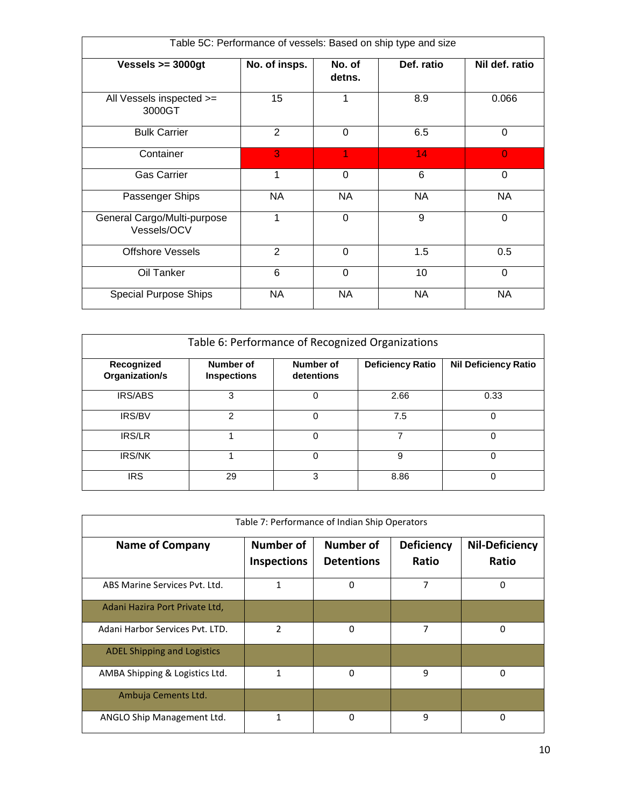| Table 5C: Performance of vessels: Based on ship type and size |                |                  |            |                |
|---------------------------------------------------------------|----------------|------------------|------------|----------------|
| Vessels $>=$ 3000gt                                           | No. of insps.  | No. of<br>detns. | Def. ratio | Nil def. ratio |
| All Vessels inspected >=<br>3000GT                            | 15             | 1                | 8.9        | 0.066          |
| <b>Bulk Carrier</b>                                           | 2              | $\Omega$         | 6.5        | $\Omega$       |
| Container                                                     | 3              | 1                | 14         | $\overline{0}$ |
| <b>Gas Carrier</b>                                            | 1              | $\Omega$         | 6          | 0              |
| Passenger Ships                                               | NA             | NA               | NA         | NA             |
| General Cargo/Multi-purpose<br>Vessels/OCV                    |                | 0                | 9          | 0              |
| <b>Offshore Vessels</b>                                       | $\overline{2}$ | $\overline{0}$   | 1.5        | 0.5            |
| Oil Tanker                                                    | 6              | $\Omega$         | 10         | $\Omega$       |
| <b>Special Purpose Ships</b>                                  | <b>NA</b>      | NA               | NA         | <b>NA</b>      |

| Table 6: Performance of Recognized Organizations |                                 |                         |                         |                             |  |  |
|--------------------------------------------------|---------------------------------|-------------------------|-------------------------|-----------------------------|--|--|
| Recognized<br>Organization/s                     | Number of<br><b>Inspections</b> | Number of<br>detentions | <b>Deficiency Ratio</b> | <b>Nil Deficiency Ratio</b> |  |  |
| <b>IRS/ABS</b>                                   | 3                               | $\Omega$                | 2.66                    | 0.33                        |  |  |
| <b>IRS/BV</b>                                    | 2                               | 0                       | 7.5                     | 0                           |  |  |
| <b>IRS/LR</b>                                    |                                 | 0                       |                         | 0                           |  |  |
| <b>IRS/NK</b>                                    |                                 | $\Omega$                | 9                       | 0                           |  |  |
| <b>IRS</b>                                       | 29                              | 3                       | 8.86                    | 0                           |  |  |

| Table 7: Performance of Indian Ship Operators |                                        |                                       |                            |                                |  |
|-----------------------------------------------|----------------------------------------|---------------------------------------|----------------------------|--------------------------------|--|
| <b>Name of Company</b>                        | <b>Number of</b><br><b>Inspections</b> | <b>Number of</b><br><b>Detentions</b> | <b>Deficiency</b><br>Ratio | <b>Nil-Deficiency</b><br>Ratio |  |
| ABS Marine Services Pyt. Ltd.                 | 1                                      | 0                                     | 7                          | $\Omega$                       |  |
| Adani Hazira Port Private Ltd,                |                                        |                                       |                            |                                |  |
| Adani Harbor Services Pyt. LTD.               | $\mathfrak z$                          | 0                                     | 7                          | 0                              |  |
| <b>ADEL Shipping and Logistics</b>            |                                        |                                       |                            |                                |  |
| AMBA Shipping & Logistics Ltd.                | 1                                      | $\Omega$                              | 9                          | 0                              |  |
| Ambuja Cements Ltd.                           |                                        |                                       |                            |                                |  |
| ANGLO Ship Management Ltd.                    |                                        | 0                                     | 9                          | 0                              |  |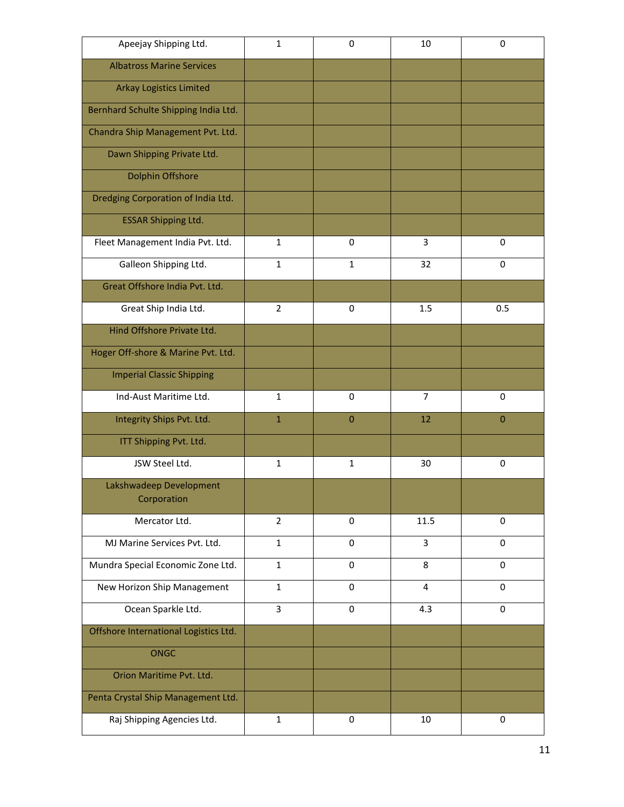| Apeejay Shipping Ltd.                  | $\mathbf{1}$   | 0            | 10             | $\mathbf 0$ |
|----------------------------------------|----------------|--------------|----------------|-------------|
| <b>Albatross Marine Services</b>       |                |              |                |             |
| <b>Arkay Logistics Limited</b>         |                |              |                |             |
| Bernhard Schulte Shipping India Ltd.   |                |              |                |             |
| Chandra Ship Management Pvt. Ltd.      |                |              |                |             |
| Dawn Shipping Private Ltd.             |                |              |                |             |
| <b>Dolphin Offshore</b>                |                |              |                |             |
| Dredging Corporation of India Ltd.     |                |              |                |             |
| <b>ESSAR Shipping Ltd.</b>             |                |              |                |             |
| Fleet Management India Pvt. Ltd.       | $\mathbf{1}$   | $\Omega$     | 3              | 0           |
| Galleon Shipping Ltd.                  | $\mathbf{1}$   | $\mathbf{1}$ | 32             | 0           |
| Great Offshore India Pvt. Ltd.         |                |              |                |             |
| Great Ship India Ltd.                  | $\overline{2}$ | $\Omega$     | 1.5            | 0.5         |
| Hind Offshore Private Ltd.             |                |              |                |             |
| Hoger Off-shore & Marine Pvt. Ltd.     |                |              |                |             |
| <b>Imperial Classic Shipping</b>       |                |              |                |             |
| Ind-Aust Maritime Ltd.                 | $\mathbf{1}$   | 0            | $\overline{7}$ | 0           |
| Integrity Ships Pvt. Ltd.              | $\mathbf{1}$   | $\Omega$     | 12             | $\mathbf 0$ |
| ITT Shipping Pvt. Ltd.                 |                |              |                |             |
| JSW Steel Ltd.                         | $\mathbf{1}$   | $\mathbf{1}$ | 30             | 0           |
| Lakshwadeep Development<br>Corporation |                |              |                |             |
| Mercator Ltd.                          | $\overline{2}$ | 0            | 11.5           | 0           |
| MJ Marine Services Pvt. Ltd.           | $\mathbf{1}$   | 0            | 3              | 0           |
| Mundra Special Economic Zone Ltd.      | $\mathbf{1}$   | 0            | 8              | 0           |
| New Horizon Ship Management            | $\mathbf{1}$   | 0            | 4              | 0           |
| Ocean Sparkle Ltd.                     | 3              | $\Omega$     | 4.3            | $\Omega$    |
| Offshore International Logistics Ltd.  |                |              |                |             |
| <b>ONGC</b>                            |                |              |                |             |
| Orion Maritime Pvt. Ltd.               |                |              |                |             |
| Penta Crystal Ship Management Ltd.     |                |              |                |             |
| Raj Shipping Agencies Ltd.             | $\mathbf{1}$   | 0            | 10             | 0           |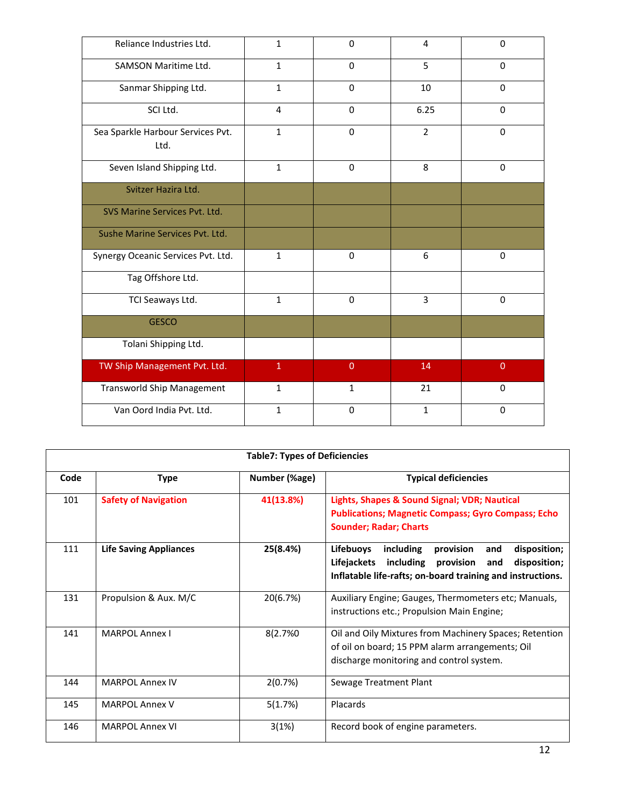| Reliance Industries Ltd.                  | $\mathbf{1}$ | $\Omega$       | $\overline{4}$ | 0              |
|-------------------------------------------|--------------|----------------|----------------|----------------|
| SAMSON Maritime Ltd.                      | $\mathbf{1}$ | $\Omega$       | 5              | 0              |
| Sanmar Shipping Ltd.                      | $\mathbf{1}$ | $\Omega$       | 10             | 0              |
| SCI Ltd.                                  | 4            | $\Omega$       | 6.25           | $\mathbf 0$    |
| Sea Sparkle Harbour Services Pvt.<br>Ltd. | $\mathbf{1}$ | 0              | $\overline{2}$ | $\mathbf 0$    |
| Seven Island Shipping Ltd.                | $\mathbf{1}$ | $\Omega$       | 8              | $\Omega$       |
| Svitzer Hazira Ltd.                       |              |                |                |                |
| SVS Marine Services Pvt. Ltd.             |              |                |                |                |
| Sushe Marine Services Pvt. Ltd.           |              |                |                |                |
| Synergy Oceanic Services Pvt. Ltd.        | $\mathbf{1}$ | 0              | 6              | $\mathbf 0$    |
| Tag Offshore Ltd.                         |              |                |                |                |
| TCI Seaways Ltd.                          | $\mathbf{1}$ | 0              | 3              | 0              |
| <b>GESCO</b>                              |              |                |                |                |
| Tolani Shipping Ltd.                      |              |                |                |                |
| TW Ship Management Pvt. Ltd.              | $\mathbf{1}$ | $\overline{0}$ | 14             | $\overline{0}$ |
| <b>Transworld Ship Management</b>         | $\mathbf{1}$ | $\mathbf{1}$   | 21             | 0              |
| Van Oord India Pvt. Ltd.                  | $\mathbf{1}$ | 0              | $\mathbf{1}$   | $\mathbf 0$    |

|      | <b>Table7: Types of Deficiencies</b> |               |                                                                                                                                                                                                 |  |  |
|------|--------------------------------------|---------------|-------------------------------------------------------------------------------------------------------------------------------------------------------------------------------------------------|--|--|
| Code | <b>Type</b>                          | Number (%age) | <b>Typical deficiencies</b>                                                                                                                                                                     |  |  |
| 101  | <b>Safety of Navigation</b>          | 41(13.8%)     | Lights, Shapes & Sound Signal; VDR; Nautical<br><b>Publications; Magnetic Compass; Gyro Compass; Echo</b><br><b>Sounder; Radar; Charts</b>                                                      |  |  |
| 111  | <b>Life Saving Appliances</b>        | 25(8.4%)      | <b>Lifebuoys</b><br>including<br>provision<br>disposition;<br>and<br>Lifejackets<br>including<br>disposition;<br>provision<br>and<br>Inflatable life-rafts; on-board training and instructions. |  |  |
| 131  | Propulsion & Aux. M/C                | 20(6.7%)      | Auxiliary Engine; Gauges, Thermometers etc; Manuals,<br>instructions etc.; Propulsion Main Engine;                                                                                              |  |  |
| 141  | <b>MARPOL Annex I</b>                | 8(2.7%0       | Oil and Oily Mixtures from Machinery Spaces; Retention<br>of oil on board; 15 PPM alarm arrangements; Oil<br>discharge monitoring and control system.                                           |  |  |
| 144  | <b>MARPOL Annex IV</b>               | 2(0.7%)       | Sewage Treatment Plant                                                                                                                                                                          |  |  |
| 145  | <b>MARPOL Annex V</b>                | 5(1.7%)       | Placards                                                                                                                                                                                        |  |  |
| 146  | MARPOL Annex VI                      | 3(1%)         | Record book of engine parameters.                                                                                                                                                               |  |  |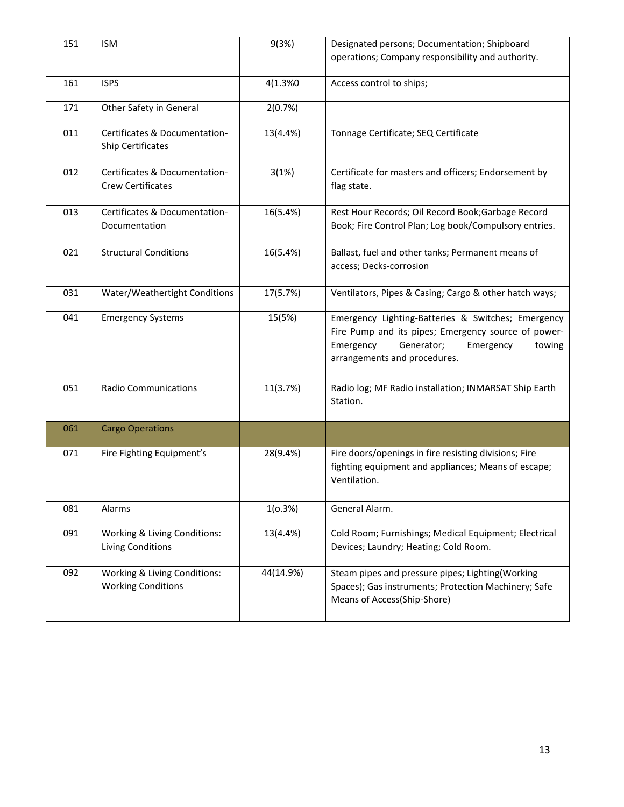| 151 | <b>ISM</b>                                                | 9(3%)     | Designated persons; Documentation; Shipboard<br>operations; Company responsibility and authority.                                                                                           |
|-----|-----------------------------------------------------------|-----------|---------------------------------------------------------------------------------------------------------------------------------------------------------------------------------------------|
| 161 | <b>ISPS</b>                                               | 4(1.3%0   | Access control to ships;                                                                                                                                                                    |
| 171 | Other Safety in General                                   | 2(0.7%)   |                                                                                                                                                                                             |
| 011 | Certificates & Documentation-<br>Ship Certificates        | 13(4.4%)  | Tonnage Certificate; SEQ Certificate                                                                                                                                                        |
| 012 | Certificates & Documentation-<br><b>Crew Certificates</b> | 3(1%)     | Certificate for masters and officers; Endorsement by<br>flag state.                                                                                                                         |
| 013 | Certificates & Documentation-<br>Documentation            | 16(5.4%)  | Rest Hour Records; Oil Record Book; Garbage Record<br>Book; Fire Control Plan; Log book/Compulsory entries.                                                                                 |
| 021 | <b>Structural Conditions</b>                              | 16(5.4%)  | Ballast, fuel and other tanks; Permanent means of<br>access; Decks-corrosion                                                                                                                |
| 031 | Water/Weathertight Conditions                             | 17(5.7%)  | Ventilators, Pipes & Casing; Cargo & other hatch ways;                                                                                                                                      |
| 041 | <b>Emergency Systems</b>                                  | 15(5%)    | Emergency Lighting-Batteries & Switches; Emergency<br>Fire Pump and its pipes; Emergency source of power-<br>Emergency<br>Generator;<br>towing<br>Emergency<br>arrangements and procedures. |
| 051 | <b>Radio Communications</b>                               | 11(3.7%)  | Radio log; MF Radio installation; INMARSAT Ship Earth<br>Station.                                                                                                                           |
| 061 | <b>Cargo Operations</b>                                   |           |                                                                                                                                                                                             |
| 071 | Fire Fighting Equipment's                                 | 28(9.4%)  | Fire doors/openings in fire resisting divisions; Fire<br>fighting equipment and appliances; Means of escape;<br>Ventilation.                                                                |
| 081 | Alarms                                                    | 1(0.3%)   | General Alarm.                                                                                                                                                                              |
| 091 | Working & Living Conditions:<br><b>Living Conditions</b>  | 13(4.4%)  | Cold Room; Furnishings; Medical Equipment; Electrical<br>Devices; Laundry; Heating; Cold Room.                                                                                              |
| 092 | Working & Living Conditions:<br><b>Working Conditions</b> | 44(14.9%) | Steam pipes and pressure pipes; Lighting(Working<br>Spaces); Gas instruments; Protection Machinery; Safe<br>Means of Access(Ship-Shore)                                                     |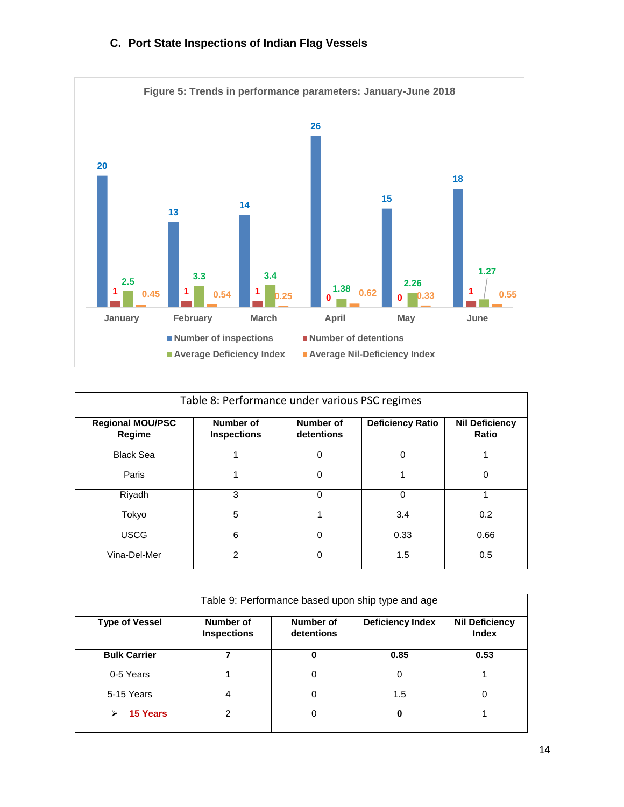



| Table 8: Performance under various PSC regimes |                                 |                         |                         |                                |  |  |
|------------------------------------------------|---------------------------------|-------------------------|-------------------------|--------------------------------|--|--|
| <b>Regional MOU/PSC</b><br>Regime              | Number of<br><b>Inspections</b> | Number of<br>detentions | <b>Deficiency Ratio</b> | <b>Nil Deficiency</b><br>Ratio |  |  |
| <b>Black Sea</b>                               |                                 | $\Omega$                | $\Omega$                |                                |  |  |
| Paris                                          | 1                               | $\Omega$                | 1                       | 0                              |  |  |
| Riyadh                                         | 3                               | $\Omega$                | 0                       |                                |  |  |
| Tokyo                                          | 5                               |                         | 3.4                     | 0.2                            |  |  |
| <b>USCG</b>                                    | 6                               | $\Omega$                | 0.33                    | 0.66                           |  |  |
| Vina-Del-Mer                                   | $\mathfrak{p}$                  | $\Omega$                | 1.5                     | 0.5                            |  |  |

| Table 9: Performance based upon ship type and age |                                 |                         |                         |                                       |  |  |
|---------------------------------------------------|---------------------------------|-------------------------|-------------------------|---------------------------------------|--|--|
| <b>Type of Vessel</b>                             | Number of<br><b>Inspections</b> | Number of<br>detentions | <b>Deficiency Index</b> | <b>Nil Deficiency</b><br><b>Index</b> |  |  |
| <b>Bulk Carrier</b>                               |                                 | 0                       | 0.85                    | 0.53                                  |  |  |
| 0-5 Years                                         |                                 | 0                       | 0                       |                                       |  |  |
| 5-15 Years                                        | 4                               | 0                       | 1.5                     | 0                                     |  |  |
| <b>15 Years</b><br>➤                              | 2                               | 0                       | 0                       |                                       |  |  |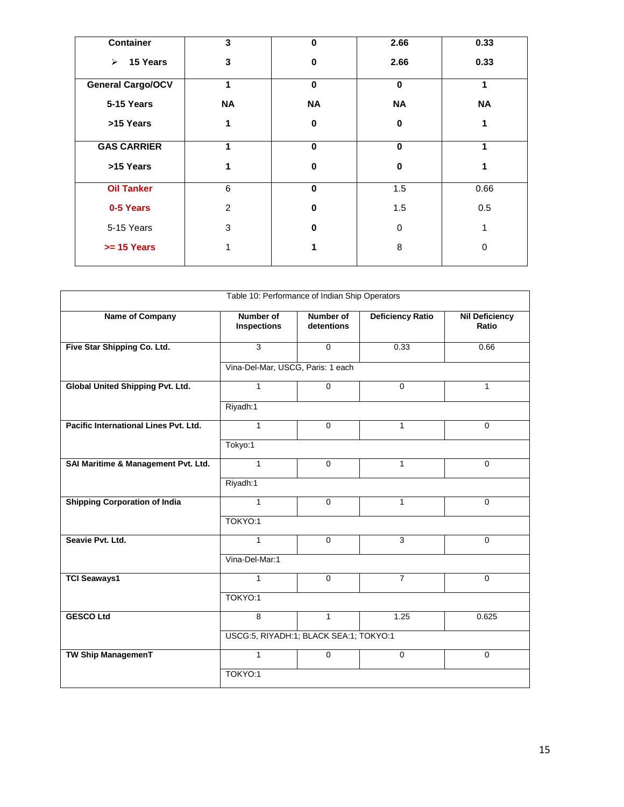| <b>Container</b>                  | 3              | $\bf{0}$  | 2.66        | 0.33      |
|-----------------------------------|----------------|-----------|-------------|-----------|
| 15 Years<br>$\blacktriangleright$ | 3              | 0         | 2.66        | 0.33      |
| <b>General Cargo/OCV</b>          | 1              | $\bf{0}$  | $\mathbf 0$ | 1         |
| 5-15 Years                        | <b>NA</b>      | <b>NA</b> | <b>NA</b>   | <b>NA</b> |
| >15 Years                         | 1              | $\bf{0}$  | $\bf{0}$    | 1         |
| <b>GAS CARRIER</b>                | 1              | $\bf{0}$  | $\bf{0}$    | 1         |
| >15 Years                         | 1              | 0         | $\bf{0}$    | 1         |
| <b>Oil Tanker</b>                 | 6              | $\bf{0}$  | 1.5         | 0.66      |
| 0-5 Years                         | $\overline{2}$ | 0         | 1.5         | 0.5       |
| 5-15 Years                        | 3              | 0         | $\Omega$    | 1         |
| $>= 15$ Years                     |                |           | 8           | 0         |

| Table 10: Performance of Indian Ship Operators |                                        |                                |                         |                                |  |  |
|------------------------------------------------|----------------------------------------|--------------------------------|-------------------------|--------------------------------|--|--|
| <b>Name of Company</b>                         | <b>Number of</b><br><b>Inspections</b> | <b>Number of</b><br>detentions | <b>Deficiency Ratio</b> | <b>Nil Deficiency</b><br>Ratio |  |  |
| Five Star Shipping Co. Ltd.                    | 3                                      | $\Omega$                       | 0.33                    | 0.66                           |  |  |
|                                                | Vina-Del-Mar, USCG, Paris: 1 each      |                                |                         |                                |  |  |
| <b>Global United Shipping Pvt. Ltd.</b>        | $\mathbf{1}$                           | $\overline{0}$                 | $\Omega$                | $\mathbf{1}$                   |  |  |
|                                                | Riyadh:1                               |                                |                         |                                |  |  |
| Pacific International Lines Pvt. Ltd.          | $\mathbf{1}$                           | $\mathbf 0$                    | $\mathbf{1}$            | $\Omega$                       |  |  |
|                                                | Tokyo:1                                |                                |                         |                                |  |  |
| SAI Maritime & Management Pvt. Ltd.            | $\mathbf{1}$                           | $\Omega$                       | $\mathbf{1}$            | $\Omega$                       |  |  |
|                                                | Riyadh:1                               |                                |                         |                                |  |  |
| <b>Shipping Corporation of India</b>           | $\mathbf{1}$                           | $\mathbf{0}$                   | $\mathbf{1}$            | $\mathbf 0$                    |  |  |
|                                                | TOKYO:1                                |                                |                         |                                |  |  |
| Seavie Pvt. Ltd.                               | 1                                      | $\Omega$                       | 3                       | $\Omega$                       |  |  |
|                                                | Vina-Del-Mar:1                         |                                |                         |                                |  |  |
| <b>TCI Seaways1</b>                            | $\mathbf{1}$                           | $\Omega$                       | $\overline{7}$          | $\Omega$                       |  |  |
|                                                | TOKYO:1                                |                                |                         |                                |  |  |
| <b>GESCO Ltd</b>                               | 8                                      | $\mathbf{1}$                   | 1.25                    | 0.625                          |  |  |
|                                                | USCG:5, RIYADH:1; BLACK SEA:1; TOKYO:1 |                                |                         |                                |  |  |
| <b>TW Ship ManagemenT</b>                      | 1                                      | $\Omega$                       | $\Omega$                | $\Omega$                       |  |  |
|                                                | TOKYO:1                                |                                |                         |                                |  |  |